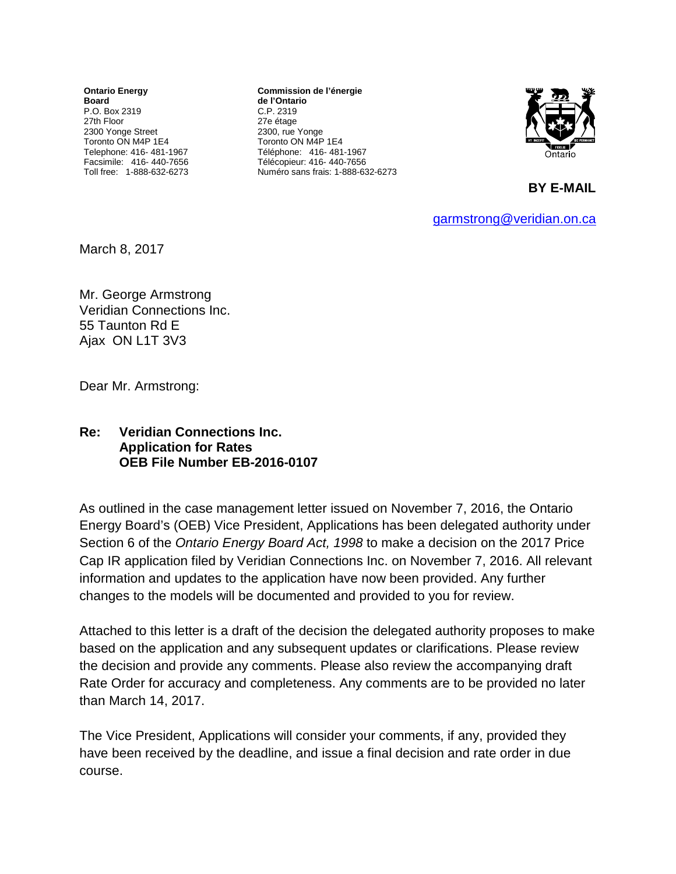**Ontario Energy Board** P.O. Box 2319 27th Floor 2300 Yonge Street Toronto ON M4P 1E4 Telephone: 416- 481-1967 Facsimile: 416- 440-7656 Toll free: 1-888-632-6273

**Commission de l'énergie de l'Ontario** C.P. 2319 27e étage 2300, rue Yonge Toronto ON M4P 1E4 Téléphone: 416- 481-1967 Télécopieur: 416- 440-7656 Numéro sans frais: 1-888-632-6273



**BY E-MAIL**

[garmstrong@veridian.on.ca](mailto:garmstrong@veridian.on.ca)

March 8, 2017

Mr. George Armstrong Veridian Connections Inc. 55 Taunton Rd E Ajax ON L1T 3V3

Dear Mr. Armstrong:

## **Re: Veridian Connections Inc. Application for Rates OEB File Number EB-2016-0107**

As outlined in the case management letter issued on November 7, 2016, the Ontario Energy Board's (OEB) Vice President, Applications has been delegated authority under Section 6 of the *Ontario Energy Board Act, 1998* to make a decision on the 2017 Price Cap IR application filed by Veridian Connections Inc. on November 7, 2016. All relevant information and updates to the application have now been provided. Any further changes to the models will be documented and provided to you for review.

Attached to this letter is a draft of the decision the delegated authority proposes to make based on the application and any subsequent updates or clarifications. Please review the decision and provide any comments. Please also review the accompanying draft Rate Order for accuracy and completeness. Any comments are to be provided no later than March 14, 2017.

The Vice President, Applications will consider your comments, if any, provided they have been received by the deadline, and issue a final decision and rate order in due course.